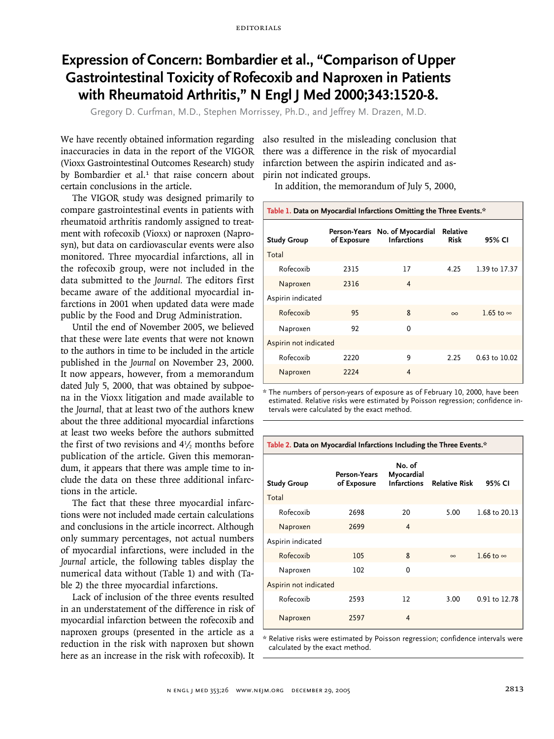## **Expression of Concern: Bombardier et al., "Comparison of Upper Gastrointestinal Toxicity of Rofecoxib and Naproxen in Patients with Rheumatoid Arthritis," N Engl J Med 2000;343:1520-8.**

Gregory D. Curfman, M.D., Stephen Morrissey, Ph.D., and Jeffrey M. Drazen, M.D.

We have recently obtained information regarding inaccuracies in data in the report of the VIGOR (Vioxx Gastrointestinal Outcomes Research) study by Bombardier et al.<sup>1</sup> that raise concern about certain conclusions in the article.

The VIGOR study was designed primarily to compare gastrointestinal events in patients with rheumatoid arthritis randomly assigned to treatment with rofecoxib (Vioxx) or naproxen (Naprosyn), but data on cardiovascular events were also monitored. Three myocardial infarctions, all in the rofecoxib group, were not included in the data submitted to the *Journal.* The editors first became aware of the additional myocardial infarctions in 2001 when updated data were made public by the Food and Drug Administration.

Until the end of November 2005, we believed that these were late events that were not known to the authors in time to be included in the article published in the *Journal* on November 23, 2000. It now appears, however, from a memorandum dated July 5, 2000, that was obtained by subpoena in the Vioxx litigation and made available to the *Journal,* that at least two of the authors knew about the three additional myocardial infarctions at least two weeks before the authors submitted the first of two revisions and  $4\frac{1}{2}$  months before publication of the article. Given this memorandum, it appears that there was ample time to include the data on these three additional infarctions in the article.

The fact that these three myocardial infarctions were not included made certain calculations and conclusions in the article incorrect. Although only summary percentages, not actual numbers of myocardial infarctions, were included in the *Journal* article, the following tables display the numerical data without (Table 1) and with (Table 2) the three myocardial infarctions.

Lack of inclusion of the three events resulted in an understatement of the difference in risk of myocardial infarction between the rofecoxib and naproxen groups (presented in the article as a reduction in the risk with naproxen but shown here as an increase in the risk with rofecoxib). It

also resulted in the misleading conclusion that there was a difference in the risk of myocardial infarction between the aspirin indicated and aspirin not indicated groups.

In addition, the memorandum of July 5, 2000,

| Table 1. Data on Myocardial Infarctions Omitting the Three Events.* |             |                                                      |                                |                  |  |  |  |
|---------------------------------------------------------------------|-------------|------------------------------------------------------|--------------------------------|------------------|--|--|--|
| <b>Study Group</b>                                                  | of Exposure | Person-Years No. of Myocardial<br><b>Infarctions</b> | <b>Relative</b><br><b>Risk</b> | 95% CI           |  |  |  |
| Total                                                               |             |                                                      |                                |                  |  |  |  |
| Rofecoxib                                                           | 2315        | 17                                                   | 4.25                           | 1.39 to 17.37    |  |  |  |
| Naproxen                                                            | 2316        | 4                                                    |                                |                  |  |  |  |
| Aspirin indicated                                                   |             |                                                      |                                |                  |  |  |  |
| Rofecoxib                                                           | 95          | 8                                                    | $\infty$                       | 1.65 to $\infty$ |  |  |  |
| Naproxen                                                            | 92          | 0                                                    |                                |                  |  |  |  |
| Aspirin not indicated                                               |             |                                                      |                                |                  |  |  |  |
| Rofecoxib                                                           | 2220        | 9                                                    | 2.25                           | 0.63 to 10.02    |  |  |  |
| Naproxen                                                            | 2224        | 4                                                    |                                |                  |  |  |  |

\* The numbers of person-years of exposure as of February 10, 2000, have been estimated. Relative risks were estimated by Poisson regression; confidence intervals were calculated by the exact method.

| <b>Study Group</b>    | Person-Years<br>of Exposure | No. of<br>Myocardial<br><b>Infarctions</b> | <b>Relative Risk</b> | 95% CI           |
|-----------------------|-----------------------------|--------------------------------------------|----------------------|------------------|
| Total                 |                             |                                            |                      |                  |
| Rofecoxib             | 2698                        | 20                                         | 5.00                 | 1.68 to 20.13    |
| Naproxen              | 2699                        | $\overline{4}$                             |                      |                  |
| Aspirin indicated     |                             |                                            |                      |                  |
| Rofecoxib             | 105                         | 8                                          | $\infty$             | 1.66 to $\infty$ |
| Naproxen              | 102                         | $\Omega$                                   |                      |                  |
| Aspirin not indicated |                             |                                            |                      |                  |
| Rofecoxib             | 2593                        | 12                                         | 3.00                 | 0.91 to 12.78    |
| Naproxen              | 2597                        | 4                                          |                      |                  |

\* Relative risks were estimated by Poisson regression; confidence intervals were calculated by the exact method.